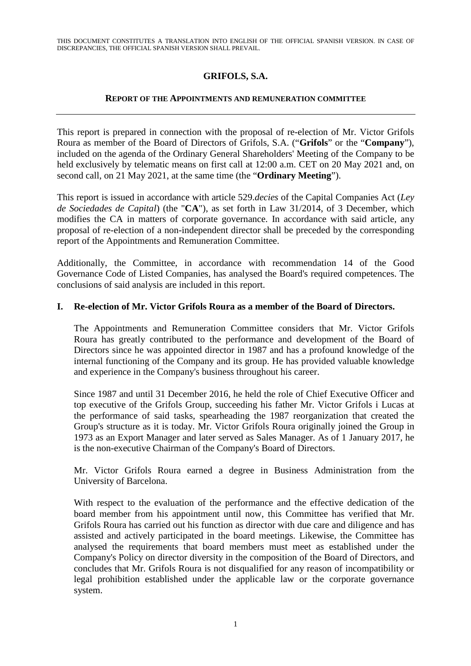## **GRIFOLS, S.A.**

## **REPORT OF THE APPOINTMENTS AND REMUNERATION COMMITTEE**

This report is prepared in connection with the proposal of re-election of Mr. Victor Grifols Roura as member of the Board of Directors of Grifols, S.A. ("**Grifols**" or the "**Company**"), included on the agenda of the Ordinary General Shareholders' Meeting of the Company to be held exclusively by telematic means on first call at 12:00 a.m. CET on 20 May 2021 and, on second call, on 21 May 2021, at the same time (the "**Ordinary Meeting**").

This report is issued in accordance with article 529.*decies* of the Capital Companies Act (*Ley de Sociedades de Capital*) (the "**CA**"), as set forth in Law 31/2014, of 3 December, which modifies the CA in matters of corporate governance. In accordance with said article, any proposal of re-election of a non-independent director shall be preceded by the corresponding report of the Appointments and Remuneration Committee.

Additionally, the Committee, in accordance with recommendation 14 of the Good Governance Code of Listed Companies, has analysed the Board's required competences. The conclusions of said analysis are included in this report.

## **I. Re-election of Mr. Victor Grifols Roura as a member of the Board of Directors.**

The Appointments and Remuneration Committee considers that Mr. Victor Grifols Roura has greatly contributed to the performance and development of the Board of Directors since he was appointed director in 1987 and has a profound knowledge of the internal functioning of the Company and its group. He has provided valuable knowledge and experience in the Company's business throughout his career.

Since 1987 and until 31 December 2016, he held the role of Chief Executive Officer and top executive of the Grifols Group, succeeding his father Mr. Victor Grifols i Lucas at the performance of said tasks, spearheading the 1987 reorganization that created the Group's structure as it is today. Mr. Victor Grifols Roura originally joined the Group in 1973 as an Export Manager and later served as Sales Manager. As of 1 January 2017, he is the non-executive Chairman of the Company's Board of Directors.

Mr. Victor Grifols Roura earned a degree in Business Administration from the University of Barcelona.

With respect to the evaluation of the performance and the effective dedication of the board member from his appointment until now, this Committee has verified that Mr. Grifols Roura has carried out his function as director with due care and diligence and has assisted and actively participated in the board meetings. Likewise, the Committee has analysed the requirements that board members must meet as established under the Company's Policy on director diversity in the composition of the Board of Directors, and concludes that Mr. Grifols Roura is not disqualified for any reason of incompatibility or legal prohibition established under the applicable law or the corporate governance system.